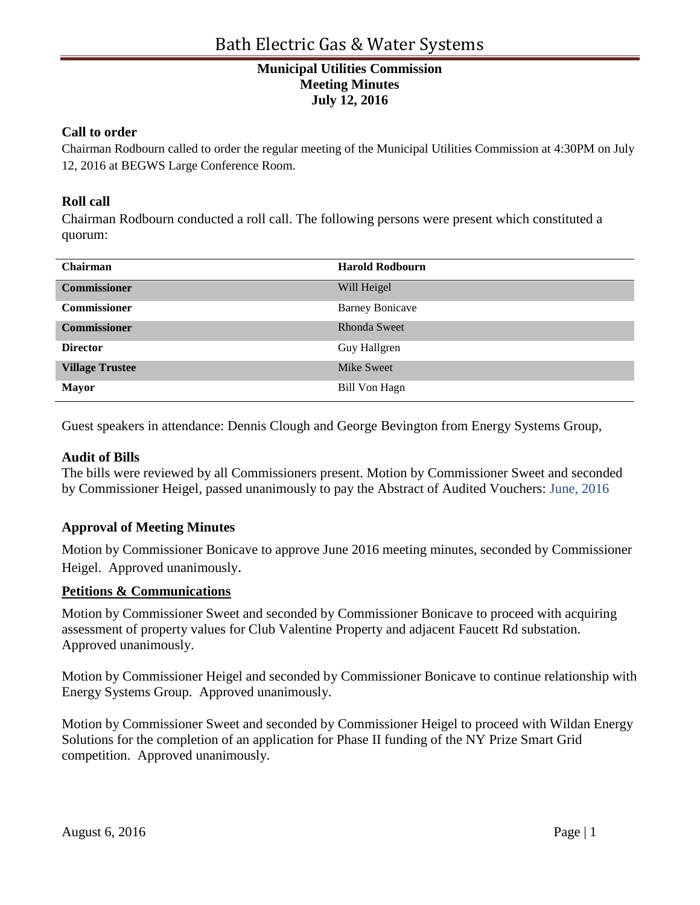# **Municipal Utilities Commission Meeting Minutes July 12, 2016**

#### **Call to order**

Chairman Rodbourn called to order the regular meeting of the Municipal Utilities Commission at 4:30PM on July 12, 2016 at BEGWS Large Conference Room.

### **Roll call**

Chairman Rodbourn conducted a roll call. The following persons were present which constituted a quorum:

| <b>Chairman</b>        | <b>Harold Rodbourn</b> |
|------------------------|------------------------|
| <b>Commissioner</b>    | Will Heigel            |
| <b>Commissioner</b>    | <b>Barney Bonicave</b> |
| <b>Commissioner</b>    | <b>Rhonda Sweet</b>    |
| <b>Director</b>        | Guy Hallgren           |
| <b>Village Trustee</b> | <b>Mike Sweet</b>      |
| <b>Mayor</b>           | <b>Bill Von Hagn</b>   |

Guest speakers in attendance: Dennis Clough and George Bevington from Energy Systems Group,

#### **Audit of Bills**

The bills were reviewed by all Commissioners present. Motion by Commissioner Sweet and seconded by Commissioner Heigel, passed unanimously to pay the Abstract of Audited Vouchers: June, 2016

#### **Approval of Meeting Minutes**

Motion by Commissioner Bonicave to approve June 2016 meeting minutes, seconded by Commissioner Heigel. Approved unanimously.

#### **Petitions & Communications**

Motion by Commissioner Sweet and seconded by Commissioner Bonicave to proceed with acquiring assessment of property values for Club Valentine Property and adjacent Faucett Rd substation. Approved unanimously.

Motion by Commissioner Heigel and seconded by Commissioner Bonicave to continue relationship with Energy Systems Group. Approved unanimously.

Motion by Commissioner Sweet and seconded by Commissioner Heigel to proceed with Wildan Energy Solutions for the completion of an application for Phase II funding of the NY Prize Smart Grid competition. Approved unanimously.